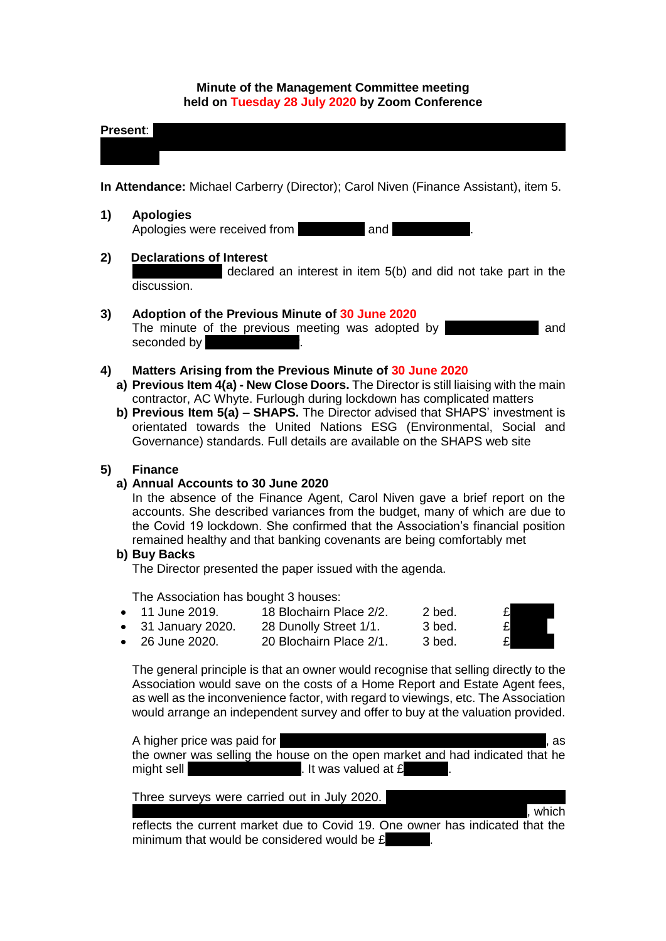#### **Minute of the Management Committee meeting held on Tuesday 28 July 2020 by Zoom Conference**

| Present: |  |  |  |
|----------|--|--|--|
|          |  |  |  |

**In Attendance:** Michael Carberry (Director); Carol Niven (Finance Assistant), item 5.

**1) Apologies** Apologies were received from Andy and

### **2) Declarations of Interest**

declared an interest in item  $5(b)$  and did not take part in the discussion.

### **3) Adoption of the Previous Minute of 30 June 2020**

The minute of the previous meeting was adopted by **Olgar Vandand** seconded by

### **4) Matters Arising from the Previous Minute of 30 June 2020**

- **a) Previous Item 4(a) - New Close Doors.** The Director is still liaising with the main contractor, AC Whyte. Furlough during lockdown has complicated matters
- **b) Previous Item 5(a) – SHAPS.** The Director advised that SHAPS' investment is orientated towards the United Nations ESG (Environmental, Social and Governance) standards. Full details are available on the SHAPS web site

#### **5) Finance**

#### **a) Annual Accounts to 30 June 2020**

In the absence of the Finance Agent, Carol Niven gave a brief report on the accounts. She described variances from the budget, many of which are due to the Covid 19 lockdown. She confirmed that the Association's financial position remained healthy and that banking covenants are being comfortably met

#### **b) Buy Backs**

The Director presented the paper issued with the agenda.

The Association has bought 3 houses:

- $\bullet$  11 June 2019. 18 Blochairn Place  $2/2$ . 2 bed.
- $\bullet$  31 January 2020. 28 Dunolly Street  $1/1$ . 3 bed.
- 26 June 2020. 20 Blochairn Place  $2/1.$  3 bed.

The general principle is that an owner would recognise that selling directly to the Association would save on the costs of a Home Report and Estate Agent fees, as well as the inconvenience factor, with regard to viewings, etc. The Association would arrange an independent survey and offer to buy at the valuation provided.

A higher price was paid for the first house purchased, 18 Blochairn Place 20, as as the owner was selling the house on the open market and had indicated that he might sell  $\blacksquare$  The Lett buyer. It was valued at  $\pounds$ 

Three surveys were carried out in July 2020.

 $s<sub>1</sub>$ , which

reflects the current market due to Covid 19. One owner has indicated that the minimum that would be considered would be  $E$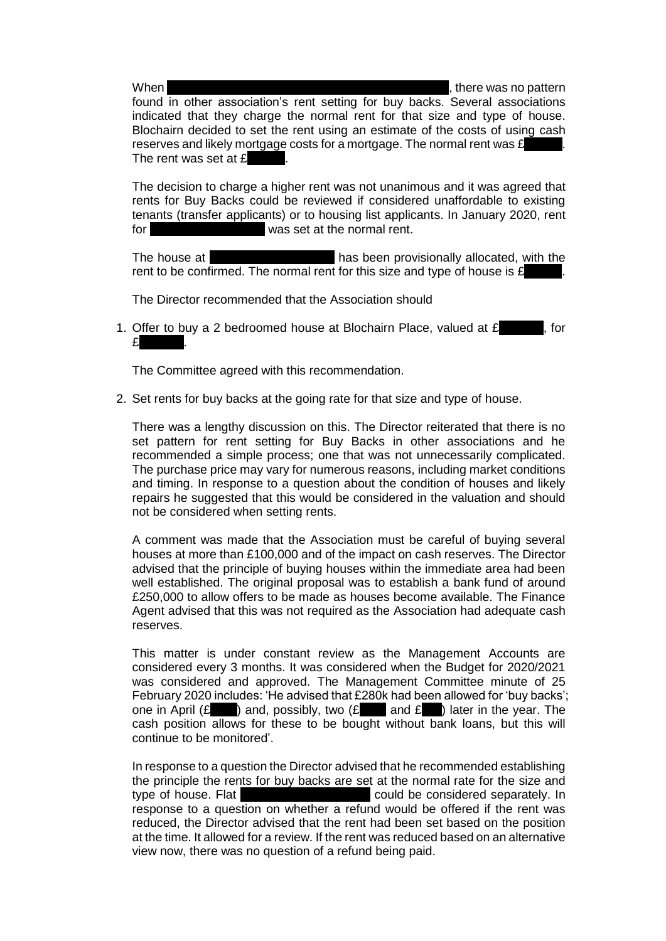When 18 Blochairn Place 2018, in the 2019, there was no pattern  $\mathbf{r}$ , there was no pattern

found in other association's rent setting for buy backs. Several associations indicated that they charge the normal rent for that size and type of house. Blochairn decided to set the rent using an estimate of the costs of using cash reserves and likely mortgage costs for a mortgage. The normal rent was  $E$ The rent was set at  $E$ 

The decision to charge a higher rent was not unanimous and it was agreed that rents for Buy Backs could be reviewed if considered unaffordable to existing tenants (transfer applicants) or to housing list applicants. In January 2020, rent for 28 Dunollary 28 Dunois Set at the normal rent.

The house at 20 Blochairn Place 20 Blochair Place 20 Blochair Place 20 Blochair Place 20 Blochair Place 20 Blochair rent to be confirmed. The normal rent for this size and type of house is  $f$ .

The Director recommended that the Association should

1. Offer to buy a 2 bedroomed house at Blochairn Place, valued at  $\mathbf{f}$ , for  $\mathbf{f}$ 

The Committee agreed with this recommendation.

2. Set rents for buy backs at the going rate for that size and type of house.

There was a lengthy discussion on this. The Director reiterated that there is no set pattern for rent setting for Buy Backs in other associations and he recommended a simple process; one that was not unnecessarily complicated. The purchase price may vary for numerous reasons, including market conditions and timing. In response to a question about the condition of houses and likely repairs he suggested that this would be considered in the valuation and should not be considered when setting rents.

A comment was made that the Association must be careful of buying several houses at more than £100,000 and of the impact on cash reserves. The Director advised that the principle of buying houses within the immediate area had been well established. The original proposal was to establish a bank fund of around £250,000 to allow offers to be made as houses become available. The Finance Agent advised that this was not required as the Association had adequate cash reserves.

This matter is under constant review as the Management Accounts are considered every 3 months. It was considered when the Budget for 2020/2021 was considered and approved. The Management Committee minute of 25 February 2020 includes: 'He advised that £280k had been allowed for 'buy backs'; one in April ( $\mathbf{E}$  ) and, possibly, two ( $\mathbf{E}$  and  $\mathbf{E}$ ) later in the year. The cash position allows for these to be bought without bank loans, but this will continue to be monitored'.

In response to a question the Director advised that he recommended establishing the principle the rents for buy backs are set at the normal rate for the size and type of house. Flat 2002 18 Blochairn Place could be considered separately. In response to a question on whether a refund would be offered if the rent was reduced, the Director advised that the rent had been set based on the position at the time. It allowed for a review. If the rent was reduced based on an alternative view now, there was no question of a refund being paid.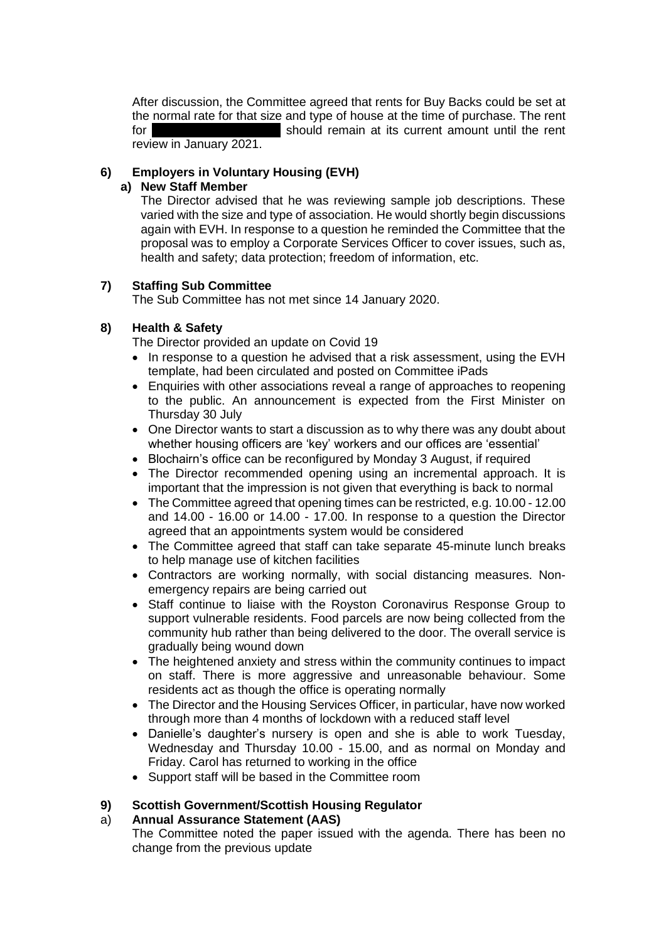After discussion, the Committee agreed that rents for Buy Backs could be set at the normal rate for that size and type of house at the time of purchase. The rent for 18 Blochairn Place 2018 Should remain at its current amount until the rent review in January 2021.

# **6) Employers in Voluntary Housing (EVH)**

### **a) New Staff Member**

The Director advised that he was reviewing sample job descriptions. These varied with the size and type of association. He would shortly begin discussions again with EVH. In response to a question he reminded the Committee that the proposal was to employ a Corporate Services Officer to cover issues, such as, health and safety; data protection; freedom of information, etc.

# **7) Staffing Sub Committee**

The Sub Committee has not met since 14 January 2020.

# **8) Health & Safety**

The Director provided an update on Covid 19

- In response to a question he advised that a risk assessment, using the EVH template, had been circulated and posted on Committee iPads
- Enquiries with other associations reveal a range of approaches to reopening to the public. An announcement is expected from the First Minister on Thursday 30 July
- One Director wants to start a discussion as to why there was any doubt about whether housing officers are 'key' workers and our offices are 'essential'
- Blochairn's office can be reconfigured by Monday 3 August, if required
- The Director recommended opening using an incremental approach. It is important that the impression is not given that everything is back to normal
- The Committee agreed that opening times can be restricted, e.g. 10.00 12.00 and 14.00 - 16.00 or 14.00 - 17.00. In response to a question the Director agreed that an appointments system would be considered
- The Committee agreed that staff can take separate 45-minute lunch breaks to help manage use of kitchen facilities
- Contractors are working normally, with social distancing measures. Nonemergency repairs are being carried out
- Staff continue to liaise with the Royston Coronavirus Response Group to support vulnerable residents. Food parcels are now being collected from the community hub rather than being delivered to the door. The overall service is gradually being wound down
- The heightened anxiety and stress within the community continues to impact on staff. There is more aggressive and unreasonable behaviour. Some residents act as though the office is operating normally
- The Director and the Housing Services Officer, in particular, have now worked through more than 4 months of lockdown with a reduced staff level
- Danielle's daughter's nursery is open and she is able to work Tuesday, Wednesday and Thursday 10.00 - 15.00, and as normal on Monday and Friday. Carol has returned to working in the office
- Support staff will be based in the Committee room

# **9) Scottish Government/Scottish Housing Regulator**

### a) **Annual Assurance Statement (AAS)**

The Committee noted the paper issued with the agenda. There has been no change from the previous update